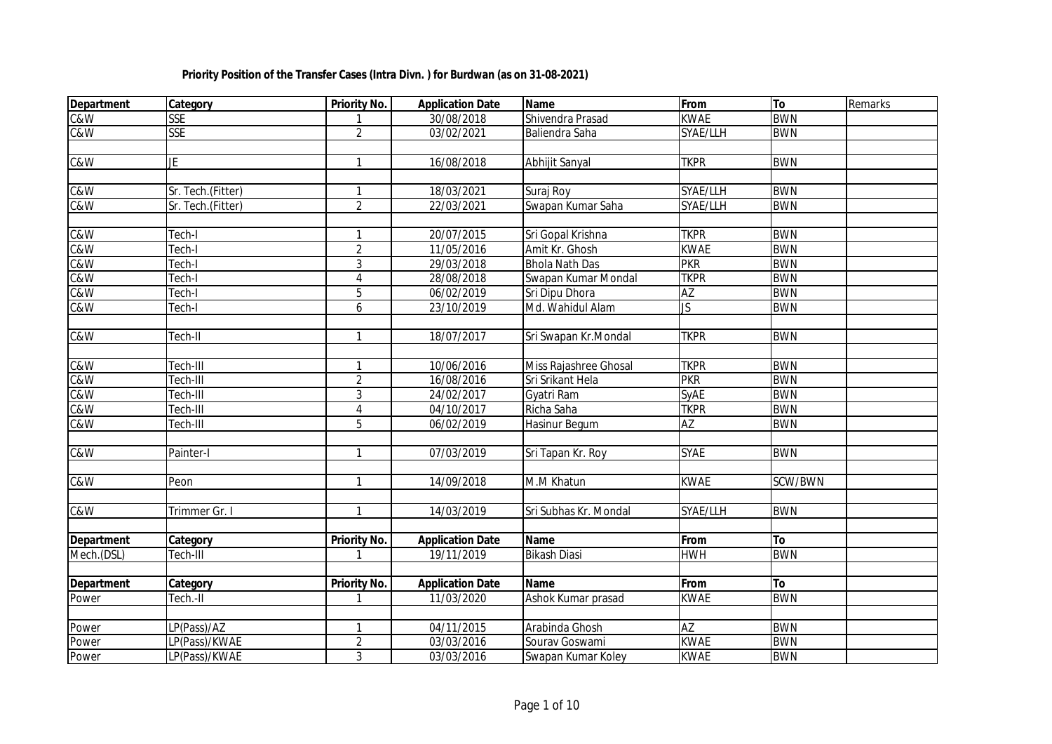| Priority Position of the Transfer Cases (Intra Divn.) for Burdwan (as on 31-08-2021) |  |
|--------------------------------------------------------------------------------------|--|
|--------------------------------------------------------------------------------------|--|

| <b>Department</b>       | Category                    | Priority No.        | <b>Application Date</b> | Name                  | From                    | To         | Remarks |
|-------------------------|-----------------------------|---------------------|-------------------------|-----------------------|-------------------------|------------|---------|
| C&W                     | <b>SSE</b>                  |                     | 30/08/2018              | Shivendra Prasad      | <b>KWAE</b>             | <b>BWN</b> |         |
| C&W                     | <b>SSE</b>                  | $\overline{2}$      | 03/02/2021              | Baliendra Saha        | SYAE/LLH                | <b>BWN</b> |         |
|                         |                             |                     |                         |                       |                         |            |         |
| <b>C&amp;W</b>          | JE.                         | $\mathbf{1}$        | 16/08/2018              | Abhijit Sanyal        | <b>TKPR</b>             | <b>BWN</b> |         |
|                         |                             |                     |                         |                       |                         |            |         |
| C&W                     | Sr. Tech.(Fitter)           | $\mathbf{1}$        | 18/03/2021              | Suraj Roy             | SYAE/LLH                | <b>BWN</b> |         |
| C&W                     | Sr. Tech.(Fitter)           | $\overline{2}$      | 22/03/2021              | Swapan Kumar Saha     | SYAE/LLH                | <b>BWN</b> |         |
|                         |                             |                     |                         |                       |                         |            |         |
| C&W                     | Tech-I                      |                     | 20/07/2015              | Sri Gopal Krishna     | <b>TKPR</b>             | <b>BWN</b> |         |
| C&W                     | Tech-I                      | $\overline{2}$      | 11/05/2016              | Amit Kr. Ghosh        | <b>KWAE</b>             | <b>BWN</b> |         |
| C&W                     | Tech-I                      | 3                   | 29/03/2018              | <b>Bhola Nath Das</b> | <b>PKR</b>              | <b>BWN</b> |         |
| <b>C&amp;W</b>          | Tech-I                      | $\overline{4}$      | 28/08/2018              | Swapan Kumar Mondal   | <b>TKPR</b>             | <b>BWN</b> |         |
| C&W                     | Tech-I                      | 5                   | 06/02/2019              | Sri Dipu Dhora        | <b>AZ</b>               | <b>BWN</b> |         |
| C&W                     | Tech-I                      | 6                   | 23/10/2019              | Md. Wahidul Alam      | $\overline{\mathsf{S}}$ | <b>BWN</b> |         |
|                         |                             |                     |                         |                       |                         |            |         |
| C&W                     | Tech-II                     | 1                   | 18/07/2017              | Sri Swapan Kr.Mondal  | <b>TKPR</b>             | <b>BWN</b> |         |
|                         |                             |                     |                         |                       |                         |            |         |
| C&W                     | Tech-III                    | 1                   | 10/06/2016              | Miss Rajashree Ghosal | <b>TKPR</b>             | <b>BWN</b> |         |
| C&W                     | Tech-III                    | $\overline{2}$      | 16/08/2016              | Sri Srikant Hela      | <b>PKR</b>              | <b>BWN</b> |         |
| C&W                     | Tech-III                    | $\mathbf{3}$        | 24/02/2017              | Gyatri Ram            | <b>SyAE</b>             | <b>BWN</b> |         |
| $c\overline{aw}$        | Tech-III                    | $\overline{4}$      | 04/10/2017              | Richa Saha            | <b>TKPR</b>             | <b>BWN</b> |         |
| $\overline{\text{Caw}}$ | Tech-III                    | 5                   | 06/02/2019              | Hasinur Begum         | $\overline{AZ}$         | <b>BWN</b> |         |
|                         |                             |                     |                         |                       |                         |            |         |
| C&W                     | Painter-I                   | 1                   | 07/03/2019              | Sri Tapan Kr. Roy     | <b>SYAE</b>             | <b>BWN</b> |         |
|                         |                             |                     |                         |                       |                         |            |         |
| C&W                     | Peon                        | $\mathbf{1}$        | 14/09/2018              | M.M Khatun            | <b>KWAE</b>             | SCW/BWN    |         |
|                         |                             |                     |                         |                       |                         |            |         |
| C&W                     | Trimmer Gr. I               | $\mathbf{1}$        | 14/03/2019              | Sri Subhas Kr. Mondal | SYAE/LLH                | <b>BWN</b> |         |
|                         |                             |                     |                         |                       |                         |            |         |
| <b>Department</b>       | Category                    | <b>Priority No.</b> | <b>Application Date</b> | Name                  | From                    | To         |         |
| Mech.(DSL)              | Tech-III                    |                     | 19/11/2019              | <b>Bikash Diasi</b>   | <b>HWH</b>              | <b>BWN</b> |         |
|                         |                             |                     | <b>Application Date</b> | <b>Name</b>           | From                    | To         |         |
| <b>Department</b>       | <b>Category</b><br>Tech.-II | Priority No.        | 11/03/2020              |                       | <b>KWAE</b>             | <b>BWN</b> |         |
| Power                   |                             |                     |                         | Ashok Kumar prasad    |                         |            |         |
| Power                   | LP(Pass)/AZ                 |                     | 04/11/2015              | Arabinda Ghosh        | AZ                      | <b>BWN</b> |         |
|                         | LP(Pass)/KWAE               | $\overline{2}$      | 03/03/2016              | Sourav Goswami        | <b>KWAE</b>             | <b>BWN</b> |         |
| Power                   |                             | 3                   | 03/03/2016              |                       | <b>KWAE</b>             | <b>BWN</b> |         |
| Power                   | LP(Pass)/KWAE               |                     |                         | Swapan Kumar Koley    |                         |            |         |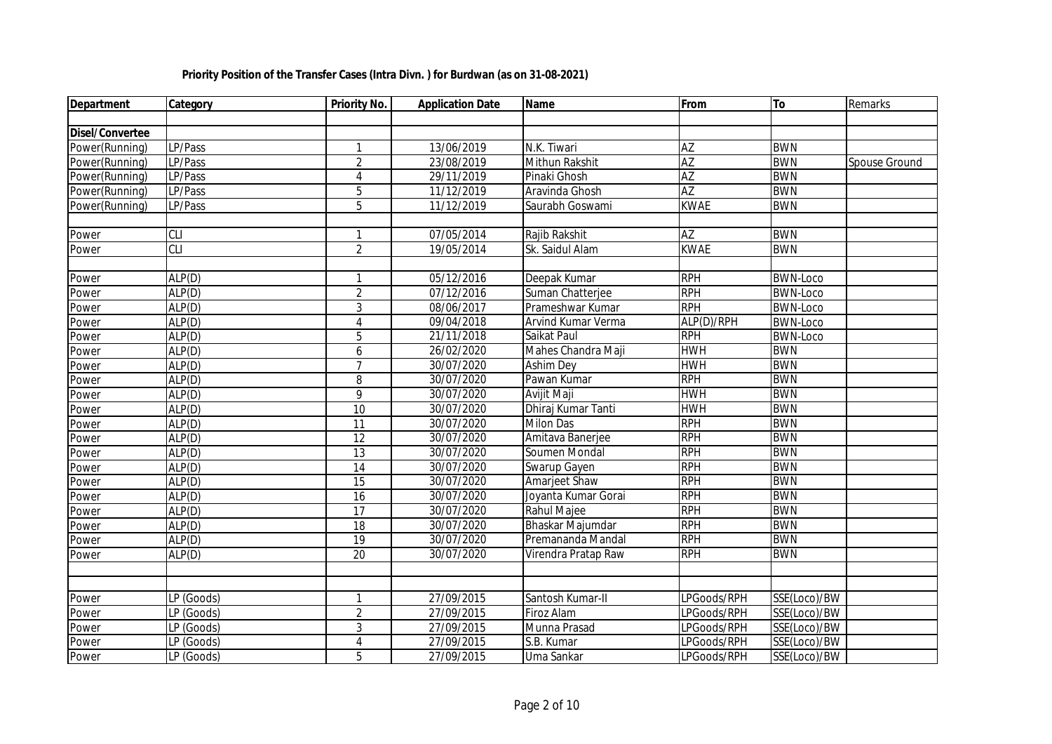| <b>Department</b>      | Category   | Priority No.    | <b>Application Date</b> | Name                      | From            | To              | Remarks       |
|------------------------|------------|-----------------|-------------------------|---------------------------|-----------------|-----------------|---------------|
|                        |            |                 |                         |                           |                 |                 |               |
| <b>Disel/Convertee</b> |            |                 |                         |                           |                 |                 |               |
| Power(Running)         | LP/Pass    | $\mathbf{1}$    | 13/06/2019              | N.K. Tiwari               | AZ              | <b>BWN</b>      |               |
| Power(Running)         | LP/Pass    | $\overline{2}$  | 23/08/2019              | Mithun Rakshit            | AZ              | <b>BWN</b>      | Spouse Ground |
| Power(Running)         | LP/Pass    | 4               | 29/11/2019              | Pinaki Ghosh              | $\overline{AZ}$ | <b>BWN</b>      |               |
| Power(Running)         | LP/Pass    | 5               | 11/12/2019              | Aravinda Ghosh            | AZ              | <b>BWN</b>      |               |
| Power(Running)         | LP/Pass    | 5               | 11/12/2019              | Saurabh Goswami           | <b>KWAE</b>     | <b>BWN</b>      |               |
|                        |            |                 |                         |                           |                 |                 |               |
| Power                  | <b>CLI</b> |                 | 07/05/2014              | Rajib Rakshit             | AZ              | <b>BWN</b>      |               |
| Power                  | <b>CLI</b> | $\overline{2}$  | 19/05/2014              | Sk. Saidul Alam           | <b>KWAE</b>     | <b>BWN</b>      |               |
|                        |            |                 |                         |                           |                 |                 |               |
| Power                  | ALP(D)     |                 | 05/12/2016              | Deepak Kumar              | <b>RPH</b>      | <b>BWN-Loco</b> |               |
| Power                  | ALP(D)     | $\overline{2}$  | 07/12/2016              | Suman Chatterjee          | <b>RPH</b>      | <b>BWN-Loco</b> |               |
| Power                  | ALP(D)     | $\overline{3}$  | 08/06/2017              | Prameshwar Kumar          | <b>RPH</b>      | <b>BWN-Loco</b> |               |
| Power                  | ALP(D)     | 4               | 09/04/2018              | <b>Arvind Kumar Verma</b> | ALP(D)/RPH      | <b>BWN-Loco</b> |               |
| Power                  | ALP(D)     | 5               | 21/11/2018              | Saikat Paul               | <b>RPH</b>      | <b>BWN-Loco</b> |               |
| Power                  | ALP(D)     | 6               | 26/02/2020              | Mahes Chandra Maji        | <b>HWH</b>      | <b>BWN</b>      |               |
| Power                  | ALP(D)     | $\overline{7}$  | 30/07/2020              | <b>Ashim Dey</b>          | <b>HWH</b>      | <b>BWN</b>      |               |
| Power                  | ALP(D)     | 8               | 30/07/2020              | Pawan Kumar               | <b>RPH</b>      | <b>BWN</b>      |               |
| Power                  | ALP(D)     | 9               | 30/07/2020              | Avijit Maji               | <b>HWH</b>      | <b>BWN</b>      |               |
| Power                  | ALP(D)     | 10              | 30/07/2020              | Dhiraj Kumar Tanti        | <b>HWH</b>      | <b>BWN</b>      |               |
| Power                  | ALP(D)     | $\overline{11}$ | 30/07/2020              | <b>Milon Das</b>          | <b>RPH</b>      | <b>BWN</b>      |               |
| Power                  | ALP(D)     | 12              | 30/07/2020              | Amitava Banerjee          | <b>RPH</b>      | <b>BWN</b>      |               |
| Power                  | ALP(D)     | $\overline{13}$ | 30/07/2020              | Soumen Mondal             | <b>RPH</b>      | <b>BWN</b>      |               |
| Power                  | ALP(D)     | 14              | 30/07/2020              | Swarup Gayen              | <b>RPH</b>      | <b>BWN</b>      |               |
| Power                  | ALP(D)     | 15              | 30/07/2020              | <b>Amarjeet Shaw</b>      | <b>RPH</b>      | <b>BWN</b>      |               |
| Power                  | ALP(D)     | 16              | 30/07/2020              | Joyanta Kumar Gorai       | <b>RPH</b>      | <b>BWN</b>      |               |
| Power                  | ALP(D)     | 17              | 30/07/2020              | <b>Rahul Majee</b>        | <b>RPH</b>      | <b>BWN</b>      |               |
| Power                  | ALP(D)     | 18              | 30/07/2020              | Bhaskar Majumdar          | <b>RPH</b>      | <b>BWN</b>      |               |
| Power                  | ALP(D)     | 19              | 30/07/2020              | Premananda Mandal         | <b>RPH</b>      | <b>BWN</b>      |               |
| Power                  | ALP(D)     | 20              | 30/07/2020              | Virendra Pratap Raw       | <b>RPH</b>      | <b>BWN</b>      |               |
|                        |            |                 |                         |                           |                 |                 |               |
|                        |            |                 |                         |                           |                 |                 |               |
| Power                  | LP (Goods) | $\mathbf{1}$    | 27/09/2015              | Santosh Kumar-II          | LPGoods/RPH     | SSE(Loco)/BW    |               |
| Power                  | LP (Goods) | $\overline{2}$  | 27/09/2015              | Firoz Alam                | LPGoods/RPH     | SSE(Loco)/BW    |               |
| Power                  | LP (Goods) | 3               | 27/09/2015              | Munna Prasad              | LPGoods/RPH     | SSE(Loco)/BW    |               |
| Power                  | LP (Goods) | 4               | 27/09/2015              | S.B. Kumar                | LPGoods/RPH     | SSE(Loco)/BW    |               |
| Power                  | LP (Goods) | 5               | 27/09/2015              | Uma Sankar                | LPGoods/RPH     | SSE(Loco)/BW    |               |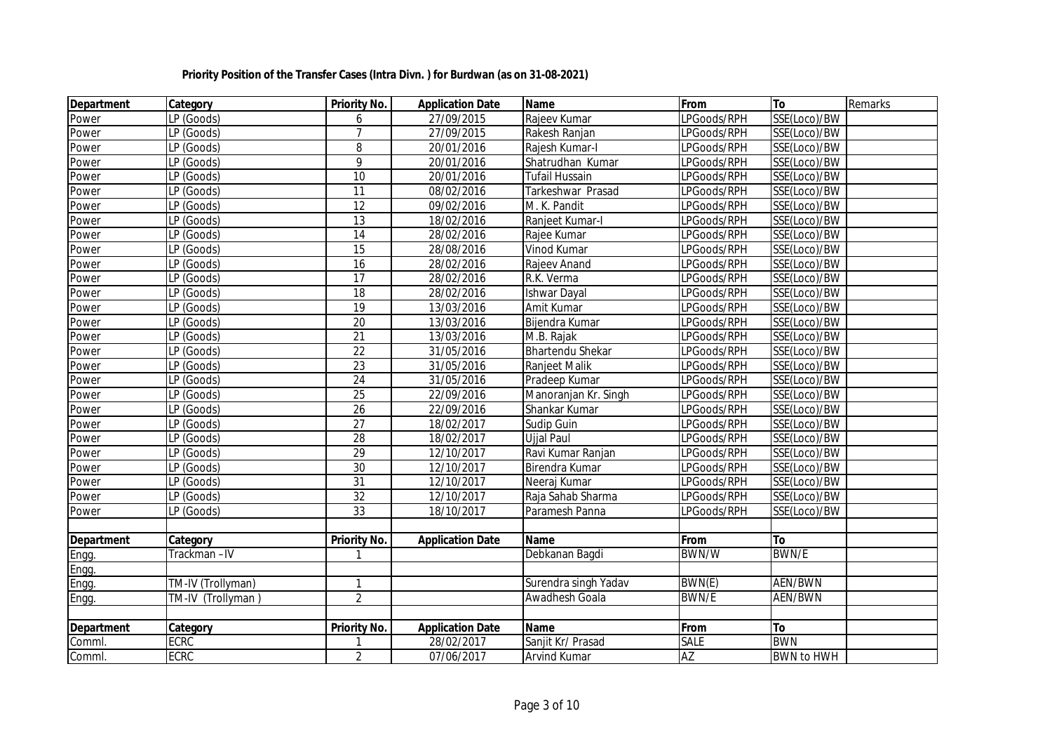| <b>Department</b> | Category                             | <b>Priority No.</b> | <b>Application Date</b> | Name                    | From            | To                | Remarks |
|-------------------|--------------------------------------|---------------------|-------------------------|-------------------------|-----------------|-------------------|---------|
| Power             | LP (Goods)                           | 6                   | 27/09/2015              | Rajeev Kumar            | LPGoods/RPH     | SSE(Loco)/BW      |         |
| Power             | LP (Goods)                           | $\overline{7}$      | 27/09/2015              | Rakesh Ranjan           | LPGoods/RPH     | SSE(Loco)/BW      |         |
| Power             | LP (Goods)                           | 8                   | 20/01/2016              | Rajesh Kumar-I          | LPGoods/RPH     | SSE(Loco)/BW      |         |
| Power             | LP (Goods)                           | $\overline{9}$      | 20/01/2016              | Shatrudhan Kumar        | LPGoods/RPH     | SSE(Loco)/BW      |         |
| Power             | LP (Goods)                           | $\overline{10}$     | 20/01/2016              | <b>Tufail Hussain</b>   | LPGoods/RPH     | SSE(Loco)/BW      |         |
| Power             | LP (Goods)                           | 11                  | 08/02/2016              | Tarkeshwar Prasad       | LPGoods/RPH     | SSE(Loco)/BW      |         |
| Power             | $\overline{\text{LP}}$ (Goods)       | $\overline{12}$     | 09/02/2016              | M. K. Pandit            | LPGoods/RPH     | SSE(Loco)/BW      |         |
| Power             | $\overline{\mathsf{LP}}$ (Goods)     | 13                  | 18/02/2016              | Ranjeet Kumar-I         | LPGoods/RPH     | SSE(Loco)/BW      |         |
| Power             | LP (Goods)                           | 14                  | 28/02/2016              | Rajee Kumar             | LPGoods/RPH     | SSE(Loco)/BW      |         |
| Power             | LP (Goods)                           | 15                  | 28/08/2016              | Vinod Kumar             | LPGoods/RPH     | SSE(Loco)/BW      |         |
| Power             | LP (Goods)                           | $\overline{16}$     | 28/02/2016              | Rajeev Anand            | LPGoods/RPH     | SSE(Loco)/BW      |         |
| Power             | LP (Goods)                           | 17                  | 28/02/2016              | R.K. Verma              | LPGoods/RPH     | SSE(Loco)/BW      |         |
| Power             | LP (Goods)                           | 18                  | 28/02/2016              | <b>Ishwar Dayal</b>     | LPGoods/RPH     | SSE(Loco)/BW      |         |
| Power             | LP (Goods)                           | $\overline{19}$     | 13/03/2016              | Amit Kumar              | LPGoods/RPH     | SSE(Loco)/BW      |         |
| Power             | LP (Goods)                           | $\overline{20}$     | 13/03/2016              | Bijendra Kumar          | LPGoods/RPH     | SSE(Loco)/BW      |         |
| Power             | LP (Goods)                           | 21                  | 13/03/2016              | M.B. Rajak              | LPGoods/RPH     | SSE(Loco)/BW      |         |
| Power             | LP (Goods)                           | $\overline{22}$     | 31/05/2016              | <b>Bhartendu Shekar</b> | LPGoods/RPH     | SSE(Loco)/BW      |         |
| Power             | LP (Goods)                           | $\overline{23}$     | 31/05/2016              | Ranjeet Malik           | LPGoods/RPH     | SSE(Loco)/BW      |         |
| Power             | $\overline{\text{LP}(\text{Goods})}$ | $\overline{24}$     | 31/05/2016              | Pradeep Kumar           | LPGoods/RPH     | SSE(Loco)/BW      |         |
| Power             | $\overline{\text{LP}(\text{Goods})}$ | $\overline{25}$     | 22/09/2016              | Manoranjan Kr. Singh    | LPGoods/RPH     | SSE(Loco)/BW      |         |
| Power             | LP (Goods)                           | 26                  | 22/09/2016              | Shankar Kumar           | LPGoods/RPH     | SSE(Loco)/BW      |         |
| Power             | LP (Goods)                           | 27                  | 18/02/2017              | Sudip Guin              | LPGoods/RPH     | SSE(Loco)/BW      |         |
| Power             | LP (Goods)                           | 28                  | 18/02/2017              | <b>Ujjal Paul</b>       | LPGoods/RPH     | SSE(Loco)/BW      |         |
| Power             | LP (Goods)                           | $\overline{29}$     | 12/10/2017              | Ravi Kumar Ranjan       | LPGoods/RPH     | SSE(Loco)/BW      |         |
| Power             | LP (Goods)                           | 30                  | 12/10/2017              | Birendra Kumar          | LPGoods/RPH     | SSE(Loco)/BW      |         |
| Power             | LP (Goods)                           | 31                  | 12/10/2017              | Neeraj Kumar            | LPGoods/RPH     | SSE(Loco)/BW      |         |
| Power             | LP (Goods)                           | $\overline{32}$     | 12/10/2017              | Raja Sahab Sharma       | LPGoods/RPH     | SSE(Loco)/BW      |         |
| Power             | LP (Goods)                           | 33                  | 18/10/2017              | Paramesh Panna          | LPGoods/RPH     | SSE(Loco)/BW      |         |
|                   |                                      |                     |                         |                         |                 |                   |         |
| <b>Department</b> | Category                             | Priority No.        | <b>Application Date</b> | <b>Name</b>             | From            | To                |         |
| Engg.             | Trackman-IV                          | 1                   |                         | Debkanan Bagdi          | BWN/W           | <b>BWN/E</b>      |         |
| Engg.             |                                      |                     |                         |                         |                 |                   |         |
| Engg.             | TM-IV (Trollyman)                    | $\mathbf{1}$        |                         | Surendra singh Yadav    | BWN(E)          | <b>AEN/BWN</b>    |         |
| Engg.             | TM-IV (Trollyman)                    | $\overline{2}$      |                         | Awadhesh Goala          | <b>BWN/E</b>    | <b>AEN/BWN</b>    |         |
|                   |                                      |                     |                         |                         |                 |                   |         |
| <b>Department</b> | Category                             | Priority No.        | <b>Application Date</b> | Name                    | From            | To                |         |
| Comml.            | ECRC                                 |                     | 28/02/2017              | Sanjit Kr/ Prasad       | SALE            | <b>BWN</b>        |         |
| Comml.            | <b>ECRC</b>                          | $\overline{2}$      | 07/06/2017              | <b>Arvind Kumar</b>     | $\overline{AZ}$ | <b>BWN to HWH</b> |         |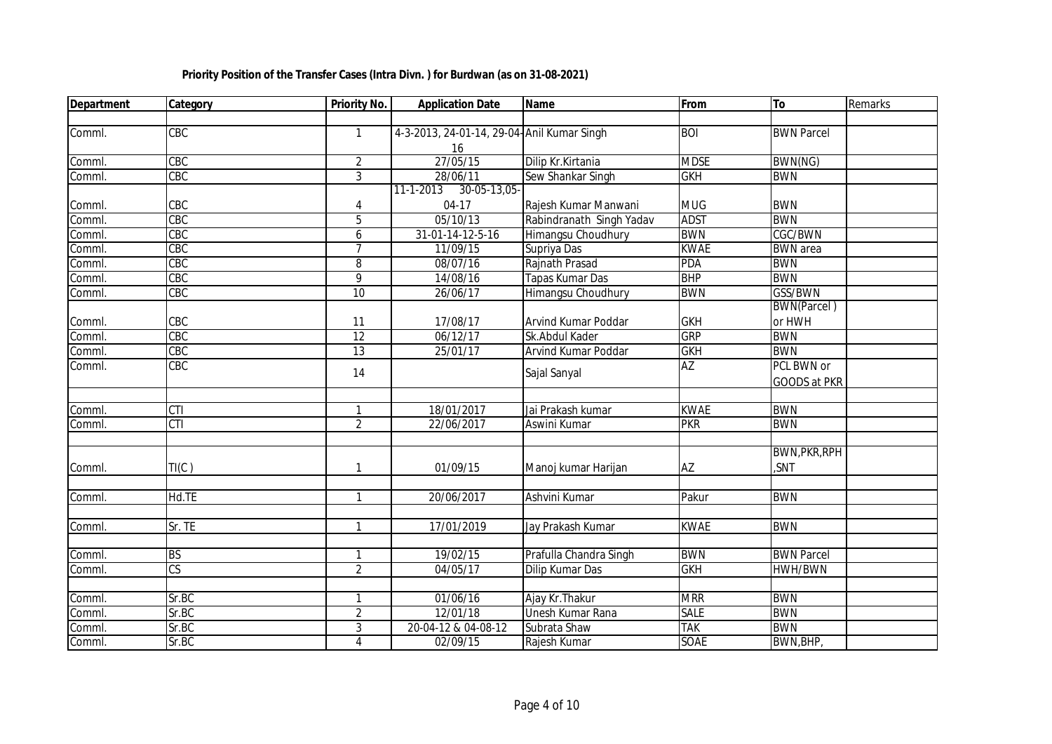| <b>Department</b> | Category               | <b>Priority No.</b> | <b>Application Date</b>                    | <b>Name</b>                | From        | To                 | Remarks |
|-------------------|------------------------|---------------------|--------------------------------------------|----------------------------|-------------|--------------------|---------|
|                   |                        |                     |                                            |                            |             |                    |         |
| Comml.            | CBC                    |                     | 4-3-2013, 24-01-14, 29-04-Anil Kumar Singh |                            | <b>BOI</b>  | <b>BWN Parcel</b>  |         |
|                   |                        |                     | 16                                         |                            |             |                    |         |
| Comml.            | CBC                    | $\overline{2}$      | 27/05/15                                   | Dilip Kr.Kirtania          | <b>MDSE</b> | BWN(NG)            |         |
| Comml.            | <b>CBC</b>             | $\overline{3}$      | 28/06/11                                   | Sew Shankar Singh          | <b>GKH</b>  | <b>BWN</b>         |         |
|                   |                        |                     | 30-05-13,05-<br>11-1-2013                  |                            |             |                    |         |
| Comml.            | CBC                    | 4                   | $04-17$                                    | Rajesh Kumar Manwani       | <b>MUG</b>  | <b>BWN</b>         |         |
| Comml.            | <b>CBC</b>             | $\overline{5}$      | 05/10/13                                   | Rabindranath Singh Yadav   | <b>ADST</b> | <b>BWN</b>         |         |
| Comml.            | CBC                    | 6                   | 31-01-14-12-5-16                           | Himangsu Choudhury         | <b>BWN</b>  | <b>CGC/BWN</b>     |         |
| Comml.            | CBC                    | $\overline{7}$      | 11/09/15                                   | Supriya Das                | <b>KWAE</b> | <b>BWN</b> area    |         |
| Comml.            | CBC                    | $\overline{8}$      | 08/07/16                                   | Rajnath Prasad             | <b>PDA</b>  | <b>BWN</b>         |         |
| Comml.            | CBC                    | $\overline{9}$      | 14/08/16                                   | <b>Tapas Kumar Das</b>     | <b>BHP</b>  | <b>BWN</b>         |         |
| Comml.            | CEC                    | $\overline{10}$     | 26/06/17                                   | Himangsu Choudhury         | <b>BWN</b>  | GSS/BWN            |         |
|                   |                        |                     |                                            |                            |             | <b>BWN(Parcel)</b> |         |
| Comml.            | CBC                    | 11                  | 17/08/17                                   | <b>Arvind Kumar Poddar</b> | <b>GKH</b>  | or HWH             |         |
| Comml.            | <b>CBC</b>             | 12                  | 06/12/17                                   | Sk.Abdul Kader             | <b>GRP</b>  | <b>BWN</b>         |         |
| Comml.            | CBC                    | $\overline{13}$     | 25/01/17                                   | <b>Arvind Kumar Poddar</b> | <b>GKH</b>  | <b>BWN</b>         |         |
| Comml.            | CEC                    | 14                  |                                            |                            | AZ          | PCL BWN or         |         |
|                   |                        |                     |                                            | Sajal Sanyal               |             | GOODS at PKR       |         |
|                   |                        |                     |                                            |                            |             |                    |         |
| Comml.            | <b>CTI</b>             | $\mathbf{1}$        | 18/01/2017                                 | Jai Prakash kumar          | <b>KWAE</b> | <b>BWN</b>         |         |
| Comml.            | <b>CTI</b>             | $\overline{2}$      | 22/06/2017                                 | Aswini Kumar               | <b>PKR</b>  | <b>BWN</b>         |         |
|                   |                        |                     |                                            |                            |             |                    |         |
|                   |                        |                     |                                            |                            |             | BWN, PKR, RPH      |         |
| Comml.            | TI(C)                  |                     | 01/09/15                                   | Manoj kumar Harijan        | AZ          | ,SNT               |         |
|                   |                        |                     |                                            |                            |             |                    |         |
| Comml.            | Hd.TE                  | $\mathbf{1}$        | 20/06/2017                                 | Ashvini Kumar              | Pakur       | <b>BWN</b>         |         |
|                   |                        |                     |                                            |                            |             |                    |         |
| Comml.            | Sr. TE                 | 1                   | 17/01/2019                                 | Jay Prakash Kumar          | <b>KWAE</b> | <b>BWN</b>         |         |
|                   |                        |                     |                                            |                            |             |                    |         |
| Comml.            | <b>BS</b>              |                     | 19/02/15                                   | Prafulla Chandra Singh     | <b>BWN</b>  | <b>BWN Parcel</b>  |         |
| Comml.            | $\overline{\text{CS}}$ | $\overline{2}$      | 04/05/17                                   | <b>Dilip Kumar Das</b>     | <b>GKH</b>  | <b>HWH/BWN</b>     |         |
|                   |                        |                     |                                            |                            |             |                    |         |
| Comml.            | Sr.BC                  | 1                   | 01/06/16                                   | Ajay Kr. Thakur            | <b>MRR</b>  | <b>BWN</b>         |         |
| Comml.            | Sr.BC                  | $\overline{2}$      | 12/01/18                                   | Unesh Kumar Rana           | <b>SALE</b> | <b>BWN</b>         |         |
| Comml.            | Sr.BC                  | 3                   | 20-04-12 & 04-08-12                        | Subrata Shaw               | <b>TAK</b>  | <b>BWN</b>         |         |
| Comml.            | Sr.BC                  | 4                   | 02/09/15                                   | Rajesh Kumar               | SOAE        | BWN, BHP,          |         |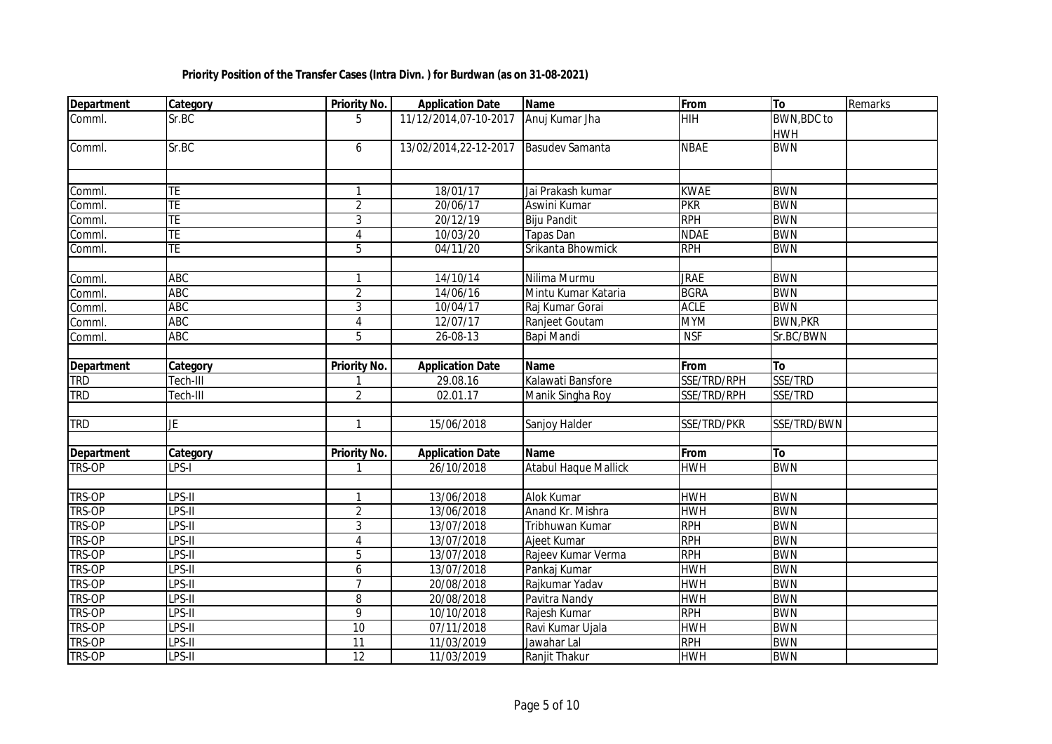| 5<br>HIH<br><b>BWN, BDC to</b><br>Comml.<br>Sr.BC<br>11/12/2014,07-10-2017<br>Anuj Kumar Jha<br><b>HWH</b><br>Sr.BC<br>13/02/2014,22-12-2017<br><b>NBAE</b><br><b>BWN</b><br>Comml.<br><b>Basudev Samanta</b><br>6<br>18/01/17<br><b>KWAE</b><br><b>BWN</b><br>Comml.<br>Jai Prakash kumar<br>TE<br>20/06/17<br><b>BWN</b><br>TE<br><b>PKR</b><br>Comml.<br>$\overline{2}$<br>Aswini Kumar<br><b>RPH</b><br>TE<br>20/12/19<br>$\overline{3}$<br><b>BWN</b><br>Comml.<br><b>Biju Pandit</b><br>TE<br><b>NDAE</b><br><b>BWN</b><br>$\overline{4}$<br>10/03/20<br>Tapas Dan<br>Comml.<br>TE<br>$\overline{5}$<br><b>RPH</b><br><b>BWN</b><br>Srikanta Bhowmick<br>04/11/20<br>Comml.<br><b>JRAE</b><br><b>BWN</b><br>14/10/14<br>Nilima Murmu<br>ABC<br>Comml.<br><b>ABC</b><br>$\overline{2}$<br>14/06/16<br><b>BGRA</b><br><b>BWN</b><br>Mintu Kumar Kataria<br>Comml.<br><b>ABC</b><br>10/04/17<br><b>ACLE</b><br><b>BWN</b><br>3<br>Raj Kumar Gorai<br>Comml.<br><b>BWN, PKR</b><br><b>ABC</b><br>12/07/17<br><b>MYM</b><br>Ranjeet Goutam<br>4<br>Comml.<br>$\overline{5}$<br><b>ABC</b><br><b>NSF</b><br>Sr.BC/BWN<br>$26 - 08 - 13$<br><b>Bapi Mandi</b><br>Comml.<br>To<br><b>Department</b><br><b>Application Date</b><br><b>Name</b><br>From<br>Category<br><b>Priority No.</b><br>SSE/TRD<br>SSE/TRD/RPH<br>Kalawati Bansfore<br><b>TRD</b><br>29.08.16<br>Tech-III<br>1<br><b>TRD</b><br>$\overline{2}$<br>02.01.17<br>SSE/TRD<br>Tech-III<br>SSE/TRD/RPH<br>Manik Singha Roy<br><b>TRD</b><br>JE<br>SSE/TRD/PKR<br>$\mathbf{1}$<br>15/06/2018<br>Sanjoy Halder<br>SSE/TRD/BWN<br>$\overline{\mathsf{I}}$<br>Name<br>From<br><b>Application Date</b><br><b>Department</b><br>Category<br><b>Priority No.</b><br><b>BWN</b><br>TRS-OP<br>LPS-I<br>26/10/2018<br><b>Atabul Haque Mallick</b><br><b>HWH</b><br>TRS-OP<br>LPS-II<br>13/06/2018<br><b>Alok Kumar</b><br><b>HWH</b><br><b>BWN</b><br>$\mathbf{1}$<br>TRS-OP<br>LPS-II<br>$\overline{2}$<br>13/06/2018<br><b>HWH</b><br><b>BWN</b><br>Anand Kr. Mishra<br><b>RPH</b><br>TRS-OP<br>LPS-II<br>3<br><b>BWN</b><br>13/07/2018<br>Tribhuwan Kumar<br>TRS-OP<br>$LPS-II$<br>13/07/2018<br>RPH<br><b>BWN</b><br>$\overline{\mathbf{4}}$<br>Ajeet Kumar<br>TRS-OP<br>LPS-II<br>5<br><b>RPH</b><br><b>BWN</b><br>13/07/2018<br>Rajeev Kumar Verma<br><b>TRS-OP</b><br>$LPS-II$<br><b>HWH</b><br><b>BWN</b><br>6<br>13/07/2018<br>Pankaj Kumar<br>$\overline{7}$<br>TRS-OP<br>$LPS-II$<br><b>HWH</b><br><b>BWN</b><br>20/08/2018<br>Rajkumar Yadav<br>$LPS-II$<br><b>HWH</b><br><b>BWN</b><br>TRS-OP<br>8<br>20/08/2018<br>Pavitra Nandy<br>$LPS-II$<br>$\overline{9}$<br><b>RPH</b><br><b>BWN</b><br><b>TRS-OP</b><br>10/10/2018<br>Rajesh Kumar<br>TRS-OP<br>LPS-II<br>10<br><b>HWH</b><br><b>BWN</b><br>07/11/2018<br>Ravi Kumar Ujala<br><b>TRS-OP</b><br>$LPS-II$<br><b>RPH</b><br><b>BWN</b><br>11<br>11/03/2019<br>Jawahar Lal | Department | Category | <b>Priority No.</b> | <b>Application Date</b> | <b>Name</b> | From | To | Remarks |
|-----------------------------------------------------------------------------------------------------------------------------------------------------------------------------------------------------------------------------------------------------------------------------------------------------------------------------------------------------------------------------------------------------------------------------------------------------------------------------------------------------------------------------------------------------------------------------------------------------------------------------------------------------------------------------------------------------------------------------------------------------------------------------------------------------------------------------------------------------------------------------------------------------------------------------------------------------------------------------------------------------------------------------------------------------------------------------------------------------------------------------------------------------------------------------------------------------------------------------------------------------------------------------------------------------------------------------------------------------------------------------------------------------------------------------------------------------------------------------------------------------------------------------------------------------------------------------------------------------------------------------------------------------------------------------------------------------------------------------------------------------------------------------------------------------------------------------------------------------------------------------------------------------------------------------------------------------------------------------------------------------------------------------------------------------------------------------------------------------------------------------------------------------------------------------------------------------------------------------------------------------------------------------------------------------------------------------------------------------------------------------------------------------------------------------------------------------------------------------------------------------------------------------------------------------------------------------------------------------------------------------------------------------------------------------------------------------------------------------------------------------------------------------------------------------------------------------------------------------------------------------------------------|------------|----------|---------------------|-------------------------|-------------|------|----|---------|
|                                                                                                                                                                                                                                                                                                                                                                                                                                                                                                                                                                                                                                                                                                                                                                                                                                                                                                                                                                                                                                                                                                                                                                                                                                                                                                                                                                                                                                                                                                                                                                                                                                                                                                                                                                                                                                                                                                                                                                                                                                                                                                                                                                                                                                                                                                                                                                                                                                                                                                                                                                                                                                                                                                                                                                                                                                                                                               |            |          |                     |                         |             |      |    |         |
|                                                                                                                                                                                                                                                                                                                                                                                                                                                                                                                                                                                                                                                                                                                                                                                                                                                                                                                                                                                                                                                                                                                                                                                                                                                                                                                                                                                                                                                                                                                                                                                                                                                                                                                                                                                                                                                                                                                                                                                                                                                                                                                                                                                                                                                                                                                                                                                                                                                                                                                                                                                                                                                                                                                                                                                                                                                                                               |            |          |                     |                         |             |      |    |         |
|                                                                                                                                                                                                                                                                                                                                                                                                                                                                                                                                                                                                                                                                                                                                                                                                                                                                                                                                                                                                                                                                                                                                                                                                                                                                                                                                                                                                                                                                                                                                                                                                                                                                                                                                                                                                                                                                                                                                                                                                                                                                                                                                                                                                                                                                                                                                                                                                                                                                                                                                                                                                                                                                                                                                                                                                                                                                                               |            |          |                     |                         |             |      |    |         |
|                                                                                                                                                                                                                                                                                                                                                                                                                                                                                                                                                                                                                                                                                                                                                                                                                                                                                                                                                                                                                                                                                                                                                                                                                                                                                                                                                                                                                                                                                                                                                                                                                                                                                                                                                                                                                                                                                                                                                                                                                                                                                                                                                                                                                                                                                                                                                                                                                                                                                                                                                                                                                                                                                                                                                                                                                                                                                               |            |          |                     |                         |             |      |    |         |
|                                                                                                                                                                                                                                                                                                                                                                                                                                                                                                                                                                                                                                                                                                                                                                                                                                                                                                                                                                                                                                                                                                                                                                                                                                                                                                                                                                                                                                                                                                                                                                                                                                                                                                                                                                                                                                                                                                                                                                                                                                                                                                                                                                                                                                                                                                                                                                                                                                                                                                                                                                                                                                                                                                                                                                                                                                                                                               |            |          |                     |                         |             |      |    |         |
|                                                                                                                                                                                                                                                                                                                                                                                                                                                                                                                                                                                                                                                                                                                                                                                                                                                                                                                                                                                                                                                                                                                                                                                                                                                                                                                                                                                                                                                                                                                                                                                                                                                                                                                                                                                                                                                                                                                                                                                                                                                                                                                                                                                                                                                                                                                                                                                                                                                                                                                                                                                                                                                                                                                                                                                                                                                                                               |            |          |                     |                         |             |      |    |         |
|                                                                                                                                                                                                                                                                                                                                                                                                                                                                                                                                                                                                                                                                                                                                                                                                                                                                                                                                                                                                                                                                                                                                                                                                                                                                                                                                                                                                                                                                                                                                                                                                                                                                                                                                                                                                                                                                                                                                                                                                                                                                                                                                                                                                                                                                                                                                                                                                                                                                                                                                                                                                                                                                                                                                                                                                                                                                                               |            |          |                     |                         |             |      |    |         |
|                                                                                                                                                                                                                                                                                                                                                                                                                                                                                                                                                                                                                                                                                                                                                                                                                                                                                                                                                                                                                                                                                                                                                                                                                                                                                                                                                                                                                                                                                                                                                                                                                                                                                                                                                                                                                                                                                                                                                                                                                                                                                                                                                                                                                                                                                                                                                                                                                                                                                                                                                                                                                                                                                                                                                                                                                                                                                               |            |          |                     |                         |             |      |    |         |
|                                                                                                                                                                                                                                                                                                                                                                                                                                                                                                                                                                                                                                                                                                                                                                                                                                                                                                                                                                                                                                                                                                                                                                                                                                                                                                                                                                                                                                                                                                                                                                                                                                                                                                                                                                                                                                                                                                                                                                                                                                                                                                                                                                                                                                                                                                                                                                                                                                                                                                                                                                                                                                                                                                                                                                                                                                                                                               |            |          |                     |                         |             |      |    |         |
|                                                                                                                                                                                                                                                                                                                                                                                                                                                                                                                                                                                                                                                                                                                                                                                                                                                                                                                                                                                                                                                                                                                                                                                                                                                                                                                                                                                                                                                                                                                                                                                                                                                                                                                                                                                                                                                                                                                                                                                                                                                                                                                                                                                                                                                                                                                                                                                                                                                                                                                                                                                                                                                                                                                                                                                                                                                                                               |            |          |                     |                         |             |      |    |         |
|                                                                                                                                                                                                                                                                                                                                                                                                                                                                                                                                                                                                                                                                                                                                                                                                                                                                                                                                                                                                                                                                                                                                                                                                                                                                                                                                                                                                                                                                                                                                                                                                                                                                                                                                                                                                                                                                                                                                                                                                                                                                                                                                                                                                                                                                                                                                                                                                                                                                                                                                                                                                                                                                                                                                                                                                                                                                                               |            |          |                     |                         |             |      |    |         |
|                                                                                                                                                                                                                                                                                                                                                                                                                                                                                                                                                                                                                                                                                                                                                                                                                                                                                                                                                                                                                                                                                                                                                                                                                                                                                                                                                                                                                                                                                                                                                                                                                                                                                                                                                                                                                                                                                                                                                                                                                                                                                                                                                                                                                                                                                                                                                                                                                                                                                                                                                                                                                                                                                                                                                                                                                                                                                               |            |          |                     |                         |             |      |    |         |
|                                                                                                                                                                                                                                                                                                                                                                                                                                                                                                                                                                                                                                                                                                                                                                                                                                                                                                                                                                                                                                                                                                                                                                                                                                                                                                                                                                                                                                                                                                                                                                                                                                                                                                                                                                                                                                                                                                                                                                                                                                                                                                                                                                                                                                                                                                                                                                                                                                                                                                                                                                                                                                                                                                                                                                                                                                                                                               |            |          |                     |                         |             |      |    |         |
|                                                                                                                                                                                                                                                                                                                                                                                                                                                                                                                                                                                                                                                                                                                                                                                                                                                                                                                                                                                                                                                                                                                                                                                                                                                                                                                                                                                                                                                                                                                                                                                                                                                                                                                                                                                                                                                                                                                                                                                                                                                                                                                                                                                                                                                                                                                                                                                                                                                                                                                                                                                                                                                                                                                                                                                                                                                                                               |            |          |                     |                         |             |      |    |         |
|                                                                                                                                                                                                                                                                                                                                                                                                                                                                                                                                                                                                                                                                                                                                                                                                                                                                                                                                                                                                                                                                                                                                                                                                                                                                                                                                                                                                                                                                                                                                                                                                                                                                                                                                                                                                                                                                                                                                                                                                                                                                                                                                                                                                                                                                                                                                                                                                                                                                                                                                                                                                                                                                                                                                                                                                                                                                                               |            |          |                     |                         |             |      |    |         |
|                                                                                                                                                                                                                                                                                                                                                                                                                                                                                                                                                                                                                                                                                                                                                                                                                                                                                                                                                                                                                                                                                                                                                                                                                                                                                                                                                                                                                                                                                                                                                                                                                                                                                                                                                                                                                                                                                                                                                                                                                                                                                                                                                                                                                                                                                                                                                                                                                                                                                                                                                                                                                                                                                                                                                                                                                                                                                               |            |          |                     |                         |             |      |    |         |
|                                                                                                                                                                                                                                                                                                                                                                                                                                                                                                                                                                                                                                                                                                                                                                                                                                                                                                                                                                                                                                                                                                                                                                                                                                                                                                                                                                                                                                                                                                                                                                                                                                                                                                                                                                                                                                                                                                                                                                                                                                                                                                                                                                                                                                                                                                                                                                                                                                                                                                                                                                                                                                                                                                                                                                                                                                                                                               |            |          |                     |                         |             |      |    |         |
|                                                                                                                                                                                                                                                                                                                                                                                                                                                                                                                                                                                                                                                                                                                                                                                                                                                                                                                                                                                                                                                                                                                                                                                                                                                                                                                                                                                                                                                                                                                                                                                                                                                                                                                                                                                                                                                                                                                                                                                                                                                                                                                                                                                                                                                                                                                                                                                                                                                                                                                                                                                                                                                                                                                                                                                                                                                                                               |            |          |                     |                         |             |      |    |         |
|                                                                                                                                                                                                                                                                                                                                                                                                                                                                                                                                                                                                                                                                                                                                                                                                                                                                                                                                                                                                                                                                                                                                                                                                                                                                                                                                                                                                                                                                                                                                                                                                                                                                                                                                                                                                                                                                                                                                                                                                                                                                                                                                                                                                                                                                                                                                                                                                                                                                                                                                                                                                                                                                                                                                                                                                                                                                                               |            |          |                     |                         |             |      |    |         |
|                                                                                                                                                                                                                                                                                                                                                                                                                                                                                                                                                                                                                                                                                                                                                                                                                                                                                                                                                                                                                                                                                                                                                                                                                                                                                                                                                                                                                                                                                                                                                                                                                                                                                                                                                                                                                                                                                                                                                                                                                                                                                                                                                                                                                                                                                                                                                                                                                                                                                                                                                                                                                                                                                                                                                                                                                                                                                               |            |          |                     |                         |             |      |    |         |
|                                                                                                                                                                                                                                                                                                                                                                                                                                                                                                                                                                                                                                                                                                                                                                                                                                                                                                                                                                                                                                                                                                                                                                                                                                                                                                                                                                                                                                                                                                                                                                                                                                                                                                                                                                                                                                                                                                                                                                                                                                                                                                                                                                                                                                                                                                                                                                                                                                                                                                                                                                                                                                                                                                                                                                                                                                                                                               |            |          |                     |                         |             |      |    |         |
|                                                                                                                                                                                                                                                                                                                                                                                                                                                                                                                                                                                                                                                                                                                                                                                                                                                                                                                                                                                                                                                                                                                                                                                                                                                                                                                                                                                                                                                                                                                                                                                                                                                                                                                                                                                                                                                                                                                                                                                                                                                                                                                                                                                                                                                                                                                                                                                                                                                                                                                                                                                                                                                                                                                                                                                                                                                                                               |            |          |                     |                         |             |      |    |         |
|                                                                                                                                                                                                                                                                                                                                                                                                                                                                                                                                                                                                                                                                                                                                                                                                                                                                                                                                                                                                                                                                                                                                                                                                                                                                                                                                                                                                                                                                                                                                                                                                                                                                                                                                                                                                                                                                                                                                                                                                                                                                                                                                                                                                                                                                                                                                                                                                                                                                                                                                                                                                                                                                                                                                                                                                                                                                                               |            |          |                     |                         |             |      |    |         |
|                                                                                                                                                                                                                                                                                                                                                                                                                                                                                                                                                                                                                                                                                                                                                                                                                                                                                                                                                                                                                                                                                                                                                                                                                                                                                                                                                                                                                                                                                                                                                                                                                                                                                                                                                                                                                                                                                                                                                                                                                                                                                                                                                                                                                                                                                                                                                                                                                                                                                                                                                                                                                                                                                                                                                                                                                                                                                               |            |          |                     |                         |             |      |    |         |
|                                                                                                                                                                                                                                                                                                                                                                                                                                                                                                                                                                                                                                                                                                                                                                                                                                                                                                                                                                                                                                                                                                                                                                                                                                                                                                                                                                                                                                                                                                                                                                                                                                                                                                                                                                                                                                                                                                                                                                                                                                                                                                                                                                                                                                                                                                                                                                                                                                                                                                                                                                                                                                                                                                                                                                                                                                                                                               |            |          |                     |                         |             |      |    |         |
|                                                                                                                                                                                                                                                                                                                                                                                                                                                                                                                                                                                                                                                                                                                                                                                                                                                                                                                                                                                                                                                                                                                                                                                                                                                                                                                                                                                                                                                                                                                                                                                                                                                                                                                                                                                                                                                                                                                                                                                                                                                                                                                                                                                                                                                                                                                                                                                                                                                                                                                                                                                                                                                                                                                                                                                                                                                                                               |            |          |                     |                         |             |      |    |         |
|                                                                                                                                                                                                                                                                                                                                                                                                                                                                                                                                                                                                                                                                                                                                                                                                                                                                                                                                                                                                                                                                                                                                                                                                                                                                                                                                                                                                                                                                                                                                                                                                                                                                                                                                                                                                                                                                                                                                                                                                                                                                                                                                                                                                                                                                                                                                                                                                                                                                                                                                                                                                                                                                                                                                                                                                                                                                                               |            |          |                     |                         |             |      |    |         |
|                                                                                                                                                                                                                                                                                                                                                                                                                                                                                                                                                                                                                                                                                                                                                                                                                                                                                                                                                                                                                                                                                                                                                                                                                                                                                                                                                                                                                                                                                                                                                                                                                                                                                                                                                                                                                                                                                                                                                                                                                                                                                                                                                                                                                                                                                                                                                                                                                                                                                                                                                                                                                                                                                                                                                                                                                                                                                               |            |          |                     |                         |             |      |    |         |
|                                                                                                                                                                                                                                                                                                                                                                                                                                                                                                                                                                                                                                                                                                                                                                                                                                                                                                                                                                                                                                                                                                                                                                                                                                                                                                                                                                                                                                                                                                                                                                                                                                                                                                                                                                                                                                                                                                                                                                                                                                                                                                                                                                                                                                                                                                                                                                                                                                                                                                                                                                                                                                                                                                                                                                                                                                                                                               |            |          |                     |                         |             |      |    |         |
|                                                                                                                                                                                                                                                                                                                                                                                                                                                                                                                                                                                                                                                                                                                                                                                                                                                                                                                                                                                                                                                                                                                                                                                                                                                                                                                                                                                                                                                                                                                                                                                                                                                                                                                                                                                                                                                                                                                                                                                                                                                                                                                                                                                                                                                                                                                                                                                                                                                                                                                                                                                                                                                                                                                                                                                                                                                                                               |            |          |                     |                         |             |      |    |         |
|                                                                                                                                                                                                                                                                                                                                                                                                                                                                                                                                                                                                                                                                                                                                                                                                                                                                                                                                                                                                                                                                                                                                                                                                                                                                                                                                                                                                                                                                                                                                                                                                                                                                                                                                                                                                                                                                                                                                                                                                                                                                                                                                                                                                                                                                                                                                                                                                                                                                                                                                                                                                                                                                                                                                                                                                                                                                                               |            |          |                     |                         |             |      |    |         |
|                                                                                                                                                                                                                                                                                                                                                                                                                                                                                                                                                                                                                                                                                                                                                                                                                                                                                                                                                                                                                                                                                                                                                                                                                                                                                                                                                                                                                                                                                                                                                                                                                                                                                                                                                                                                                                                                                                                                                                                                                                                                                                                                                                                                                                                                                                                                                                                                                                                                                                                                                                                                                                                                                                                                                                                                                                                                                               |            |          |                     |                         |             |      |    |         |
|                                                                                                                                                                                                                                                                                                                                                                                                                                                                                                                                                                                                                                                                                                                                                                                                                                                                                                                                                                                                                                                                                                                                                                                                                                                                                                                                                                                                                                                                                                                                                                                                                                                                                                                                                                                                                                                                                                                                                                                                                                                                                                                                                                                                                                                                                                                                                                                                                                                                                                                                                                                                                                                                                                                                                                                                                                                                                               |            |          |                     |                         |             |      |    |         |
|                                                                                                                                                                                                                                                                                                                                                                                                                                                                                                                                                                                                                                                                                                                                                                                                                                                                                                                                                                                                                                                                                                                                                                                                                                                                                                                                                                                                                                                                                                                                                                                                                                                                                                                                                                                                                                                                                                                                                                                                                                                                                                                                                                                                                                                                                                                                                                                                                                                                                                                                                                                                                                                                                                                                                                                                                                                                                               |            |          |                     |                         |             |      |    |         |
|                                                                                                                                                                                                                                                                                                                                                                                                                                                                                                                                                                                                                                                                                                                                                                                                                                                                                                                                                                                                                                                                                                                                                                                                                                                                                                                                                                                                                                                                                                                                                                                                                                                                                                                                                                                                                                                                                                                                                                                                                                                                                                                                                                                                                                                                                                                                                                                                                                                                                                                                                                                                                                                                                                                                                                                                                                                                                               |            |          |                     |                         |             |      |    |         |
|                                                                                                                                                                                                                                                                                                                                                                                                                                                                                                                                                                                                                                                                                                                                                                                                                                                                                                                                                                                                                                                                                                                                                                                                                                                                                                                                                                                                                                                                                                                                                                                                                                                                                                                                                                                                                                                                                                                                                                                                                                                                                                                                                                                                                                                                                                                                                                                                                                                                                                                                                                                                                                                                                                                                                                                                                                                                                               |            |          |                     |                         |             |      |    |         |
|                                                                                                                                                                                                                                                                                                                                                                                                                                                                                                                                                                                                                                                                                                                                                                                                                                                                                                                                                                                                                                                                                                                                                                                                                                                                                                                                                                                                                                                                                                                                                                                                                                                                                                                                                                                                                                                                                                                                                                                                                                                                                                                                                                                                                                                                                                                                                                                                                                                                                                                                                                                                                                                                                                                                                                                                                                                                                               |            |          |                     |                         |             |      |    |         |
| TRS-OP<br>LPS-II<br>$\overline{12}$<br><b>HWH</b><br><b>BWN</b><br>11/03/2019<br>Ranjit Thakur                                                                                                                                                                                                                                                                                                                                                                                                                                                                                                                                                                                                                                                                                                                                                                                                                                                                                                                                                                                                                                                                                                                                                                                                                                                                                                                                                                                                                                                                                                                                                                                                                                                                                                                                                                                                                                                                                                                                                                                                                                                                                                                                                                                                                                                                                                                                                                                                                                                                                                                                                                                                                                                                                                                                                                                                |            |          |                     |                         |             |      |    |         |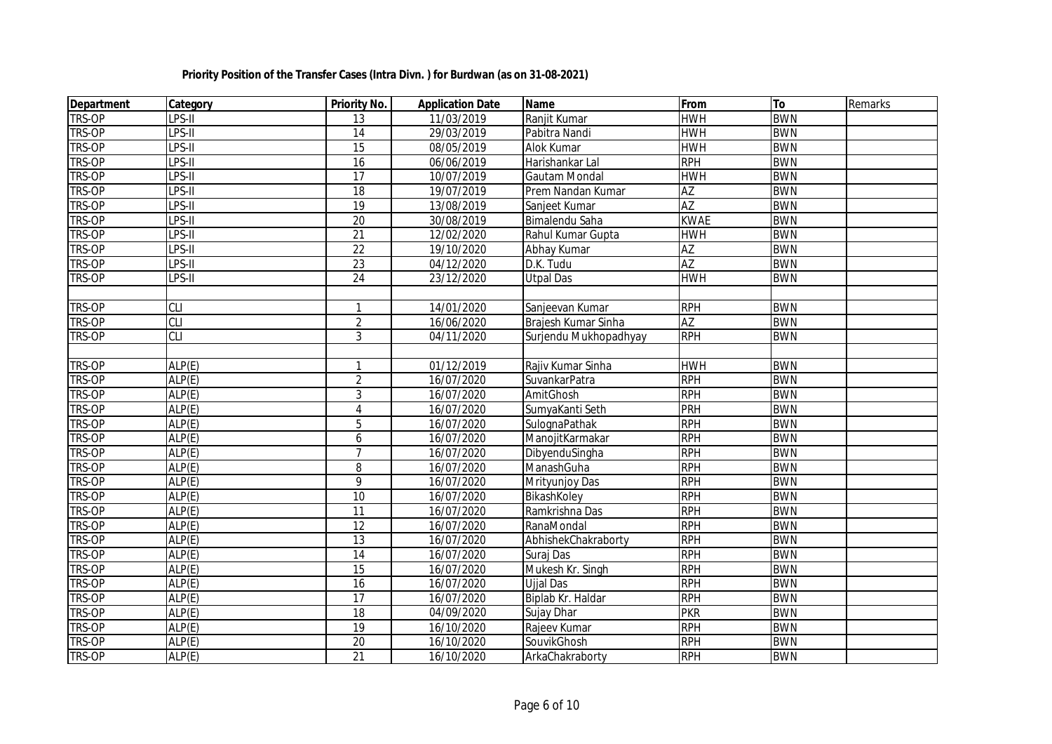| <b>Department</b> | Category         | Priority No.    | <b>Application Date</b> | <b>Name</b>           | From            | To         | Remarks |
|-------------------|------------------|-----------------|-------------------------|-----------------------|-----------------|------------|---------|
| TRS-OP            | LPS-II           | 13              | 11/03/2019              | Ranjit Kumar          | <b>HWH</b>      | <b>BWN</b> |         |
| TRS-OP            | LPS-II           | $\overline{14}$ | 29/03/2019              | Pabitra Nandi         | <b>HWH</b>      | <b>BWN</b> |         |
| TRS-OP            | LPS-II           | $\overline{15}$ | 08/05/2019              | Alok Kumar            | <b>HWH</b>      | <b>BWN</b> |         |
| TRS-OP            | LPS-II           | 16              | 06/06/2019              | Harishankar Lal       | <b>RPH</b>      | <b>BWN</b> |         |
| TRS-OP            | LPS-II           | 17              | 10/07/2019              | <b>Gautam Mondal</b>  | <b>HWH</b>      | <b>BWN</b> |         |
| TRS-OP            | LPS-II           | 18              | 19/07/2019              | Prem Nandan Kumar     | AZ              | <b>BWN</b> |         |
| TRS-OP            | $LPS-II$         | $\overline{19}$ | 13/08/2019              | Sanjeet Kumar         | <b>AZ</b>       | <b>BWN</b> |         |
| TRS-OP            | $LPS-II$         | 20              | 30/08/2019              | Bimalendu Saha        | <b>KWAE</b>     | <b>BWN</b> |         |
| TRS-OP            | LPS-II           | 21              | 12/02/2020              | Rahul Kumar Gupta     | <b>HWH</b>      | <b>BWN</b> |         |
| TRS-OP            | LPS-II           | 22              | 19/10/2020              | Abhay Kumar           | $\overline{AZ}$ | <b>BWN</b> |         |
| TRS-OP            | LPS-II           | $\overline{23}$ | 04/12/2020              | D.K. Tudu             | AZ              | <b>BWN</b> |         |
| TRS-OP            | LPS-II           | 24              | 23/12/2020              | <b>Utpal Das</b>      | <b>HWH</b>      | <b>BWN</b> |         |
|                   |                  |                 |                         |                       |                 |            |         |
| TRS-OP            | $\overline{CLI}$ |                 | 14/01/2020              | Sanjeevan Kumar       | <b>RPH</b>      | <b>BWN</b> |         |
| TRS-OP            | CLI              | $\overline{2}$  | 16/06/2020              | Brajesh Kumar Sinha   | AZ              | <b>BWN</b> |         |
| TRS-OP            | CLI              | $\overline{3}$  | 04/11/2020              | Surjendu Mukhopadhyay | <b>RPH</b>      | <b>BWN</b> |         |
|                   |                  |                 |                         |                       |                 |            |         |
| TRS-OP            | ALP(E)           | 1               | 01/12/2019              | Rajiv Kumar Sinha     | <b>HWH</b>      | <b>BWN</b> |         |
| TRS-OP            | ALP(E)           | $\overline{2}$  | 16/07/2020              | SuvankarPatra         | <b>RPH</b>      | <b>BWN</b> |         |
| TRS-OP            | ALP(E)           | 3               | 16/07/2020              | AmitGhosh             | <b>RPH</b>      | <b>BWN</b> |         |
| TRS-OP            | ALP(E)           | $\overline{4}$  | 16/07/2020              | SumyaKanti Seth       | <b>PRH</b>      | <b>BWN</b> |         |
| TRS-OP            | ALP(E)           | 5               | 16/07/2020              | SulognaPathak         | <b>RPH</b>      | <b>BWN</b> |         |
| TRS-OP            | ALP(E)           | 6               | 16/07/2020              | ManojitKarmakar       | <b>RPH</b>      | <b>BWN</b> |         |
| TRS-OP            | ALP(E)           | $\overline{7}$  | 16/07/2020              | DibyenduSingha        | <b>RPH</b>      | <b>BWN</b> |         |
| TRS-OP            | ALP(E)           | 8               | 16/07/2020              | ManashGuha            | <b>RPH</b>      | <b>BWN</b> |         |
| TRS-OP            | ALP(E)           | $\overline{9}$  | 16/07/2020              | Mrityunjoy Das        | <b>RPH</b>      | <b>BWN</b> |         |
| TRS-OP            | ALP(E)           | 10              | 16/07/2020              | BikashKoley           | <b>RPH</b>      | <b>BWN</b> |         |
| TRS-OP            | ALP(E)           | 11              | 16/07/2020              | Ramkrishna Das        | <b>RPH</b>      | <b>BWN</b> |         |
| TRS-OP            | ALP(E)           | $\overline{12}$ | 16/07/2020              | RanaMondal            | <b>RPH</b>      | <b>BWN</b> |         |
| TRS-OP            | ALP(E)           | 13              | 16/07/2020              | AbhishekChakraborty   | <b>RPH</b>      | <b>BWN</b> |         |
| TRS-OP            | ALP(E)           | 14              | 16/07/2020              | Suraj Das             | <b>RPH</b>      | <b>BWN</b> |         |
| TRS-OP            | ALP(E)           | 15              | 16/07/2020              | Mukesh Kr. Singh      | <b>RPH</b>      | <b>BWN</b> |         |
| TRS-OP            | ALP(E)           | 16              | 16/07/2020              | <b>Ujial Das</b>      | <b>RPH</b>      | <b>BWN</b> |         |
| TRS-OP            | ALP(E)           | 17              | 16/07/2020              | Biplab Kr. Haldar     | <b>RPH</b>      | <b>BWN</b> |         |
| TRS-OP            | ALP(E)           | $\overline{18}$ | 04/09/2020              | Sujay Dhar            | <b>PKR</b>      | <b>BWN</b> |         |
| TRS-OP            | ALP(E)           | $\overline{19}$ | 16/10/2020              | Rajeev Kumar          | <b>RPH</b>      | <b>BWN</b> |         |
| TRS-OP            | ALP(E)           | 20              | 16/10/2020              | SouvikGhosh           | <b>RPH</b>      | <b>BWN</b> |         |
| TRS-OP            | ALP(E)           | $\overline{21}$ | 16/10/2020              | ArkaChakraborty       | <b>RPH</b>      | <b>BWN</b> |         |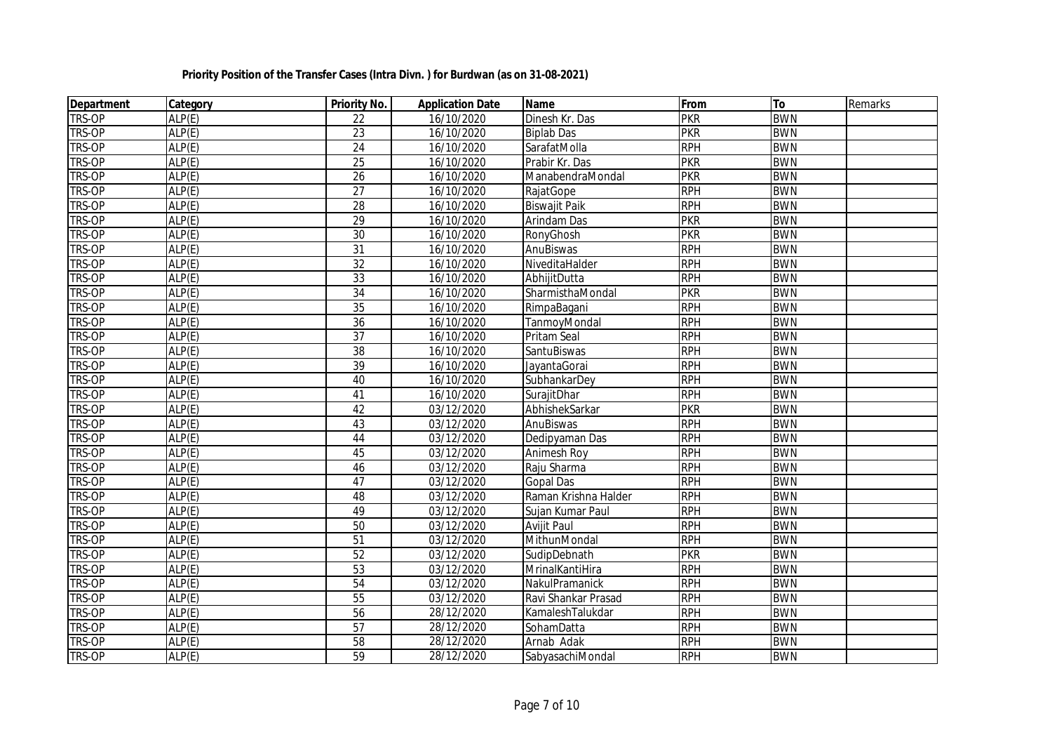| <b>Department</b> | Category | <b>Priority No.</b> | <b>Application Date</b> | Name                 | From       | To         | Remarks |
|-------------------|----------|---------------------|-------------------------|----------------------|------------|------------|---------|
| TRS-OP            | ALP(E)   | 22                  | 16/10/2020              | Dinesh Kr. Das       | <b>PKR</b> | <b>BWN</b> |         |
| TRS-OP            | ALP(E)   | $\overline{23}$     | 16/10/2020              | <b>Biplab Das</b>    | <b>PKR</b> | <b>BWN</b> |         |
| TRS-OP            | ALP(E)   | $\overline{24}$     | 16/10/2020              | SarafatMolla         | <b>RPH</b> | <b>BWN</b> |         |
| TRS-OP            | ALP(E)   | 25                  | 16/10/2020              | Prabir Kr. Das       | <b>PKR</b> | <b>BWN</b> |         |
| TRS-OP            | ALP(E)   | 26                  | 16/10/2020              | ManabendraMondal     | <b>PKR</b> | <b>BWN</b> |         |
| TRS-OP            | ALP(E)   | 27                  | 16/10/2020              | RajatGope            | <b>RPH</b> | <b>BWN</b> |         |
| TRS-OP            | ALP(E)   | 28                  | 16/10/2020              | <b>Biswajit Paik</b> | <b>RPH</b> | <b>BWN</b> |         |
| TRS-OP            | ALP(E)   | 29                  | 16/10/2020              | Arindam Das          | <b>PKR</b> | <b>BWN</b> |         |
| TRS-OP            | ALP(E)   | $\overline{30}$     | 16/10/2020              | RonyGhosh            | <b>PKR</b> | <b>BWN</b> |         |
| TRS-OP            | ALP(E)   | 31                  | 16/10/2020              | AnuBiswas            | <b>RPH</b> | <b>BWN</b> |         |
| TRS-OP            | ALP(E)   | $\overline{32}$     | 16/10/2020              | NiveditaHalder       | <b>RPH</b> | <b>BWN</b> |         |
| TRS-OP            | ALP(E)   | 33                  | 16/10/2020              | AbhijitDutta         | <b>RPH</b> | <b>BWN</b> |         |
| TRS-OP            | ALP(E)   | $\overline{34}$     | 16/10/2020              | SharmisthaMondal     | <b>PKR</b> | <b>BWN</b> |         |
| TRS-OP            | ALP(E)   | 35                  | 16/10/2020              | RimpaBagani          | <b>RPH</b> | <b>BWN</b> |         |
| TRS-OP            | ALP(E)   | $\overline{36}$     | 16/10/2020              | TanmoyMondal         | <b>RPH</b> | <b>BWN</b> |         |
| TRS-OP            | ALP(E)   | $\overline{37}$     | 16/10/2020              | Pritam Seal          | <b>RPH</b> | <b>BWN</b> |         |
| TRS-OP            | ALP(E)   | 38                  | 16/10/2020              | SantuBiswas          | <b>RPH</b> | <b>BWN</b> |         |
| TRS-OP            | ALP(E)   | $\overline{39}$     | 16/10/2020              | <b>JayantaGorai</b>  | <b>RPH</b> | <b>BWN</b> |         |
| TRS-OP            | ALP(E)   | 40                  | 16/10/2020              | SubhankarDey         | <b>RPH</b> | <b>BWN</b> |         |
| TRS-OP            | ALP(E)   | 41                  | 16/10/2020              | SurajitDhar          | <b>RPH</b> | <b>BWN</b> |         |
| TRS-OP            | ALP(E)   | $\overline{42}$     | 03/12/2020              | AbhishekSarkar       | <b>PKR</b> | <b>BWN</b> |         |
| TRS-OP            | ALP(E)   | 43                  | 03/12/2020              | AnuBiswas            | <b>RPH</b> | <b>BWN</b> |         |
| TRS-OP            | ALP(E)   | 44                  | 03/12/2020              | Dedipyaman Das       | <b>RPH</b> | <b>BWN</b> |         |
| TRS-OP            | ALP(E)   | 45                  | 03/12/2020              | Animesh Roy          | <b>RPH</b> | <b>BWN</b> |         |
| TRS-OP            | ALP(E)   | 46                  | 03/12/2020              | Raju Sharma          | <b>RPH</b> | <b>BWN</b> |         |
| TRS-OP            | ALP(E)   | 47                  | 03/12/2020              | <b>Gopal Das</b>     | <b>RPH</b> | <b>BWN</b> |         |
| TRS-OP            | ALP(E)   | 48                  | 03/12/2020              | Raman Krishna Halder | <b>RPH</b> | <b>BWN</b> |         |
| TRS-OP            | ALP(E)   | 49                  | 03/12/2020              | Sujan Kumar Paul     | <b>RPH</b> | <b>BWN</b> |         |
| TRS-OP            | ALP(E)   | 50                  | 03/12/2020              | <b>Avijit Paul</b>   | <b>RPH</b> | <b>BWN</b> |         |
| TRS-OP            | ALP(E)   | 51                  | 03/12/2020              | MithunMondal         | <b>RPH</b> | <b>BWN</b> |         |
| TRS-OP            | ALP(E)   | 52                  | 03/12/2020              | SudipDebnath         | <b>PKR</b> | <b>BWN</b> |         |
| TRS-OP            | ALP(E)   | 53                  | 03/12/2020              | MrinalKantiHira      | <b>RPH</b> | <b>BWN</b> |         |
| TRS-OP            | ALP(E)   | 54                  | 03/12/2020              | NakulPramanick       | <b>RPH</b> | <b>BWN</b> |         |
| TRS-OP            | ALP(E)   | 55                  | 03/12/2020              | Ravi Shankar Prasad  | <b>RPH</b> | <b>BWN</b> |         |
| TRS-OP            | ALP(E)   | 56                  | 28/12/2020              | KamaleshTalukdar     | <b>RPH</b> | <b>BWN</b> |         |
| TRS-OP            | ALP(E)   | 57                  | 28/12/2020              | SohamDatta           | <b>RPH</b> | <b>BWN</b> |         |
| TRS-OP            | ALP(E)   | 58                  | 28/12/2020              | Arnab Adak           | <b>RPH</b> | <b>BWN</b> |         |
| TRS-OP            | ALP(E)   | 59                  | 28/12/2020              | SabyasachiMondal     | <b>RPH</b> | <b>BWN</b> |         |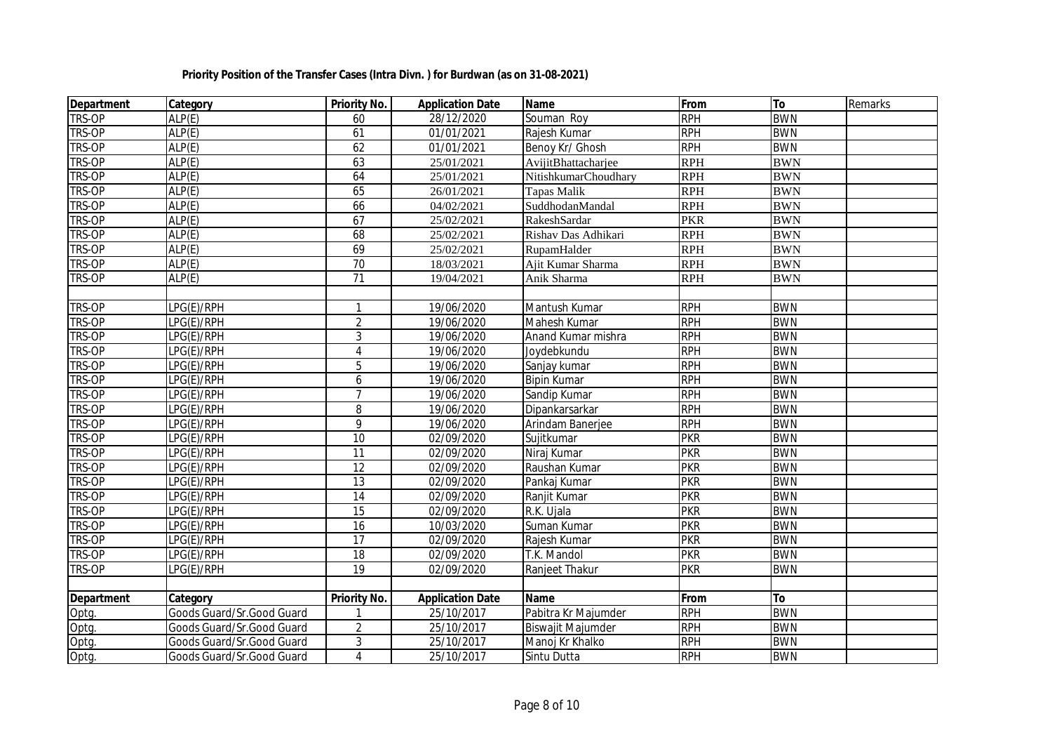| <b>Department</b> | Category                  | <b>Priority No.</b> | <b>Application Date</b> | Name                     | From       | To         | Remarks |
|-------------------|---------------------------|---------------------|-------------------------|--------------------------|------------|------------|---------|
| TRS-OP            | ALP(E)                    | 60                  | 28/12/2020              | Souman Roy               | <b>RPH</b> | <b>BWN</b> |         |
| TRS-OP            | ALP(E)                    | 61                  | 01/01/2021              | Rajesh Kumar             | <b>RPH</b> | <b>BWN</b> |         |
| TRS-OP            | ALP(E)                    | 62                  | 01/01/2021              | Benoy Kr/ Ghosh          | <b>RPH</b> | <b>BWN</b> |         |
| TRS-OP            | ALP(E)                    | 63                  | 25/01/2021              | AvijitBhattacharjee      | <b>RPH</b> | <b>BWN</b> |         |
| TRS-OP            | ALP(E)                    | 64                  | 25/01/2021              | NitishkumarChoudhary     | <b>RPH</b> | <b>BWN</b> |         |
| TRS-OP            | ALP(E)                    | 65                  | 26/01/2021              | Tapas Malik              | <b>RPH</b> | <b>BWN</b> |         |
| TRS-OP            | ALP(E)                    | 66                  | 04/02/2021              | SuddhodanMandal          | <b>RPH</b> | <b>BWN</b> |         |
| TRS-OP            | ALP(E)                    | 67                  | 25/02/2021              | RakeshSardar             | <b>PKR</b> | <b>BWN</b> |         |
| TRS-OP            | ALP(E)                    | 68                  | 25/02/2021              | Rishav Das Adhikari      | <b>RPH</b> | <b>BWN</b> |         |
| TRS-OP            | ALP(E)                    | 69                  | 25/02/2021              | RupamHalder              | <b>RPH</b> | <b>BWN</b> |         |
| TRS-OP            | ALP(E)                    | $\overline{70}$     | 18/03/2021              | Ajit Kumar Sharma        | <b>RPH</b> | <b>BWN</b> |         |
| TRS-OP            | ALP(E)                    | 71                  | 19/04/2021              | Anik Sharma              | <b>RPH</b> | <b>BWN</b> |         |
|                   |                           |                     |                         |                          |            |            |         |
| TRS-OP            | LPG(E)/RPH                | 1                   | 19/06/2020              | Mantush Kumar            | <b>RPH</b> | <b>BWN</b> |         |
| TRS-OP            | LPG(E)/RPH                | $\overline{2}$      | 19/06/2020              | Mahesh Kumar             | <b>RPH</b> | <b>BWN</b> |         |
| TRS-OP            | LPG(E)/RPH                | 3                   | 19/06/2020              | Anand Kumar mishra       | <b>RPH</b> | <b>BWN</b> |         |
| TRS-OP            | LPG(E)/RPH                | $\overline{4}$      | 19/06/2020              | Joydebkundu              | <b>RPH</b> | <b>BWN</b> |         |
| TRS-OP            | LPG(E)/RPH                | $\overline{5}$      | 19/06/2020              | Sanjay kumar             | <b>RPH</b> | <b>BWN</b> |         |
| TRS-OP            | LPG(E)/RPH                | 6                   | 19/06/2020              | <b>Bipin Kumar</b>       | <b>RPH</b> | <b>BWN</b> |         |
| TRS-OP            | LPG(E)/RPH                | $\overline{7}$      | 19/06/2020              | Sandip Kumar             | <b>RPH</b> | <b>BWN</b> |         |
| TRS-OP            | LPG(E)/RPH                | 8                   | 19/06/2020              | Dipankarsarkar           | <b>RPH</b> | <b>BWN</b> |         |
| TRS-OP            | LPG(E)/RPH                | $\overline{9}$      | 19/06/2020              | Arindam Banerjee         | <b>RPH</b> | <b>BWN</b> |         |
| TRS-OP            | LPG(E)/RPH                | 10                  | 02/09/2020              | Sujitkumar               | <b>PKR</b> | <b>BWN</b> |         |
| TRS-OP            | LPG(E)/RPH                | $\overline{11}$     | 02/09/2020              | Niraj Kumar              | <b>PKR</b> | <b>BWN</b> |         |
| TRS-OP            | LPG(E)/RPH                | $\overline{12}$     | 02/09/2020              | Raushan Kumar            | <b>PKR</b> | <b>BWN</b> |         |
| TRS-OP            | LPG(E)/RPH                | $\overline{13}$     | 02/09/2020              | Pankaj Kumar             | <b>PKR</b> | <b>BWN</b> |         |
| TRS-OP            | LPG(E)/RPH                | 14                  | 02/09/2020              | Ranjit Kumar             | <b>PKR</b> | <b>BWN</b> |         |
| TRS-OP            | LPG(E)/RPH                | 15                  | 02/09/2020              | R.K. Ujala               | <b>PKR</b> | <b>BWN</b> |         |
| TRS-OP            | LPG(E)/RPH                | 16                  | 10/03/2020              | Suman Kumar              | <b>PKR</b> | <b>BWN</b> |         |
| TRS-OP            | LPG(E)/RPH                | 17                  | 02/09/2020              | Rajesh Kumar             | <b>PKR</b> | <b>BWN</b> |         |
| TRS-OP            | LPG(E)/RPH                | 18                  | 02/09/2020              | T.K. Mandol              | <b>PKR</b> | <b>BWN</b> |         |
| TRS-OP            | LPG(E)/RPH                | 19                  | 02/09/2020              | Ranjeet Thakur           | <b>PKR</b> | <b>BWN</b> |         |
|                   |                           |                     |                         |                          |            |            |         |
| Department        | Category                  | Priority No.        | <b>Application Date</b> | Name                     | From       | To         |         |
| Optg.             | Goods Guard/Sr.Good Guard |                     | 25/10/2017              | Pabitra Kr Majumder      | <b>RPH</b> | <b>BWN</b> |         |
| Optg.             | Goods Guard/Sr.Good Guard | $\overline{2}$      | 25/10/2017              | <b>Biswajit Majumder</b> | <b>RPH</b> | <b>BWN</b> |         |
| Optg.             | Goods Guard/Sr.Good Guard | $\mathbf{3}$        | 25/10/2017              | Manoj Kr Khalko          | <b>RPH</b> | <b>BWN</b> |         |
| Optg.             | Goods Guard/Sr.Good Guard | $\overline{4}$      | 25/10/2017              | Sintu Dutta              | <b>RPH</b> | <b>BWN</b> |         |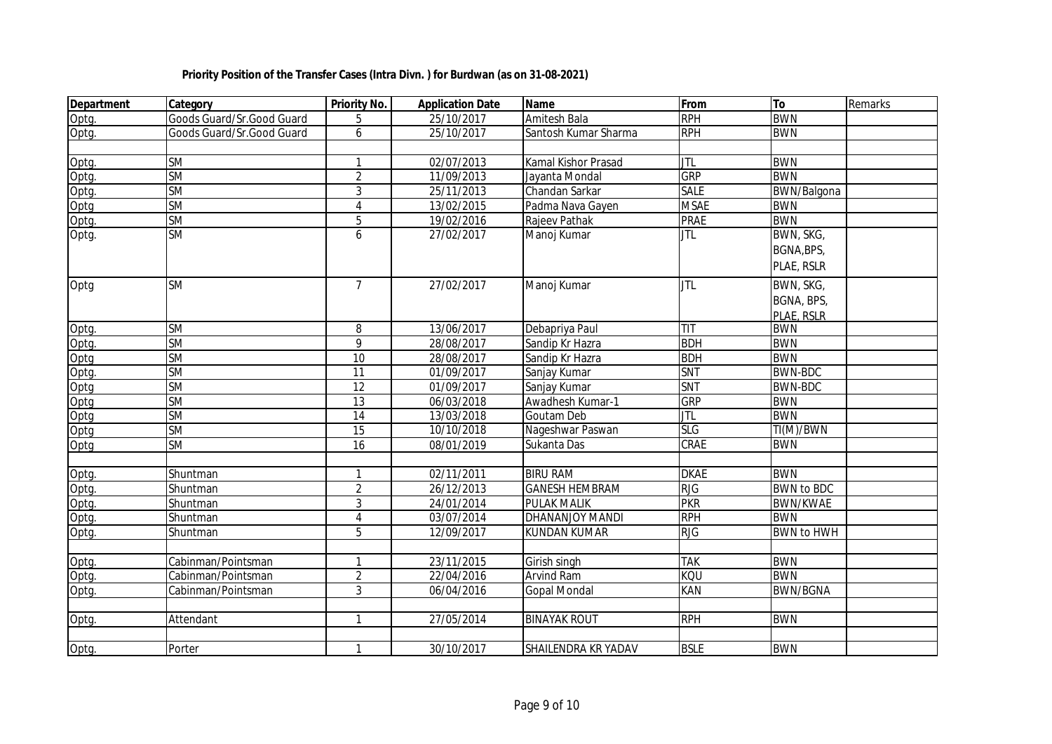| <b>Department</b> | Category                  | <b>Priority No.</b> | <b>Application Date</b> | Name                  | From             | To                 | Remarks |
|-------------------|---------------------------|---------------------|-------------------------|-----------------------|------------------|--------------------|---------|
| Optg.             | Goods Guard/Sr.Good Guard | 5                   | 25/10/2017              | Amitesh Bala          | <b>RPH</b>       | <b>BWN</b>         |         |
| Optg.             | Goods Guard/Sr.Good Guard | 6                   | 25/10/2017              | Santosh Kumar Sharma  | <b>RPH</b>       | <b>BWN</b>         |         |
|                   |                           |                     |                         |                       |                  |                    |         |
| Optg.             | <b>SM</b>                 | $\mathbf{1}$        | 02/07/2013              | Kamal Kishor Prasad   | JTL              | <b>BWN</b>         |         |
| Optg.             | <b>SM</b>                 | $\overline{2}$      | 11/09/2013              | Jayanta Mondal        | <b>GRP</b>       | <b>BWN</b>         |         |
| Optg.             | <b>SM</b>                 | $\mathbf{3}$        | 25/11/2013              | Chandan Sarkar        | <b>SALE</b>      | <b>BWN/Balgona</b> |         |
| Optg              | <b>SM</b>                 | $\overline{4}$      | 13/02/2015              | Padma Nava Gayen      | <b>MSAE</b>      | <b>BWN</b>         |         |
| Optg.             | <b>SM</b>                 | 5                   | 19/02/2016              | Rajeev Pathak         | <b>PRAE</b>      | <b>BWN</b>         |         |
| Optg.             | <b>SM</b>                 | 6                   | 27/02/2017              | Manoj Kumar           | <b>JTL</b>       | BWN, SKG,          |         |
|                   |                           |                     |                         |                       |                  | BGNA, BPS,         |         |
|                   |                           |                     |                         |                       |                  | PLAE, RSLR         |         |
| Optg              | <b>SM</b>                 | $\overline{7}$      | 27/02/2017              | Manoj Kumar           | $\overline{JTL}$ | BWN, SKG,          |         |
|                   |                           |                     |                         |                       |                  | BGNA, BPS,         |         |
|                   |                           |                     |                         |                       |                  | PLAE, RSLR         |         |
| Optg.             | <b>SM</b>                 | 8                   | 13/06/2017              | Debapriya Paul        | TIT              | <b>BWN</b>         |         |
| Optg.             | <b>SM</b>                 | $\overline{9}$      | 28/08/2017              | Sandip Kr Hazra       | <b>BDH</b>       | <b>BWN</b>         |         |
| Optg              | <b>SM</b>                 | $\overline{10}$     | 28/08/2017              | Sandip Kr Hazra       | <b>BDH</b>       | <b>BWN</b>         |         |
| Optg.             | <b>SM</b>                 | 11                  | 01/09/2017              | Sanjay Kumar          | SNT              | <b>BWN-BDC</b>     |         |
| Optg              | <b>SM</b>                 | $\overline{12}$     | 01/09/2017              | Sanjay Kumar          | SNT              | <b>BWN-BDC</b>     |         |
| Optg              | <b>SM</b>                 | 13                  | 06/03/2018              | Awadhesh Kumar-1      | <b>GRP</b>       | <b>BWN</b>         |         |
| Optg              | <b>SM</b>                 | 14                  | 13/03/2018              | <b>Goutam Deb</b>     | $\overline{JTL}$ | <b>BWN</b>         |         |
| Optg              | <b>SM</b>                 | $\overline{15}$     | 10/10/2018              | Nageshwar Paswan      | <b>SLG</b>       | TI(M)/BWN          |         |
| Optg              | <b>SM</b>                 | 16                  | 08/01/2019              | Sukanta Das           | <b>CRAE</b>      | <b>BWN</b>         |         |
|                   |                           |                     |                         |                       |                  |                    |         |
| Optg.             | Shuntman                  | $\mathbf{1}$        | 02/11/2011              | <b>BIRU RAM</b>       | <b>DKAE</b>      | <b>BWN</b>         |         |
| Optg.             | Shuntman                  | $\overline{2}$      | 26/12/2013              | <b>GANESH HEMBRAM</b> | RJG              | <b>BWN to BDC</b>  |         |
| Optg.             | Shuntman                  | $\mathbf{3}$        | 24/01/2014              | <b>PULAK MALIK</b>    | <b>PKR</b>       | <b>BWN/KWAE</b>    |         |
| Optg.             | Shuntman                  | $\overline{4}$      | 03/07/2014              | DHANANJOY MANDI       | <b>RPH</b>       | <b>BWN</b>         |         |
| Optg.             | Shuntman                  | 5                   | 12/09/2017              | <b>KUNDAN KUMAR</b>   | <b>RJG</b>       | <b>BWN to HWH</b>  |         |
|                   |                           |                     |                         |                       |                  |                    |         |
| Optg.             | Cabinman/Pointsman        | 1                   | 23/11/2015              | Girish singh          | <b>TAK</b>       | <b>BWN</b>         |         |
| Optg.             | Cabinman/Pointsman        | $\overline{2}$      | 22/04/2016              | <b>Arvind Ram</b>     | KQU              | <b>BWN</b>         |         |
| Optg.             | Cabinman/Pointsman        | 3                   | 06/04/2016              | <b>Gopal Mondal</b>   | <b>KAN</b>       | <b>BWN/BGNA</b>    |         |
|                   |                           |                     |                         |                       |                  |                    |         |
| Optg.             | Attendant                 | $\mathbf{1}$        | 27/05/2014              | <b>BINAYAK ROUT</b>   | <b>RPH</b>       | <b>BWN</b>         |         |
|                   |                           |                     |                         |                       |                  |                    |         |
| Optg.             | Porter                    | $\mathbf{1}$        | 30/10/2017              | SHAILENDRA KR YADAV   | <b>BSLE</b>      | <b>BWN</b>         |         |